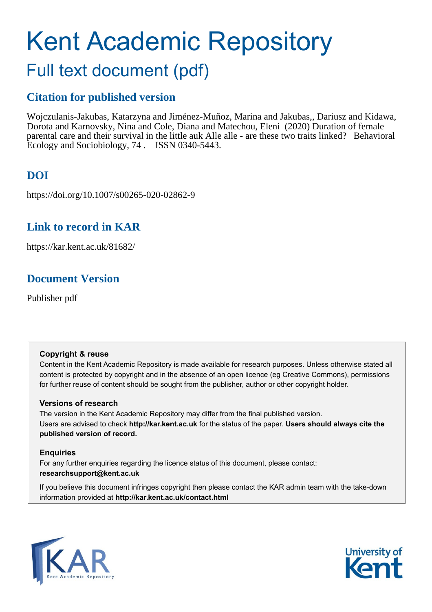# Kent Academic Repository

## Full text document (pdf)

## **Citation for published version**

Wojczulanis-Jakubas, Katarzyna and Jiménez-Muñoz, Marina and Jakubas,, Dariusz and Kidawa, Dorota and Karnovsky, Nina and Cole, Diana and Matechou, Eleni (2020) Duration of female parental care and their survival in the little auk Alle alle - are these two traits linked? Behavioral Ecology and Sociobiology, 74 . ISSN 0340-5443.

## **DOI**

https://doi.org/10.1007/s00265-020-02862-9

## **Link to record in KAR**

https://kar.kent.ac.uk/81682/

## **Document Version**

Publisher pdf

#### **Copyright & reuse**

Content in the Kent Academic Repository is made available for research purposes. Unless otherwise stated all content is protected by copyright and in the absence of an open licence (eg Creative Commons), permissions for further reuse of content should be sought from the publisher, author or other copyright holder.

#### **Versions of research**

The version in the Kent Academic Repository may differ from the final published version. Users are advised to check **http://kar.kent.ac.uk** for the status of the paper. **Users should always cite the published version of record.**

#### **Enquiries**

For any further enquiries regarding the licence status of this document, please contact: **researchsupport@kent.ac.uk**

If you believe this document infringes copyright then please contact the KAR admin team with the take-down information provided at **http://kar.kent.ac.uk/contact.html**



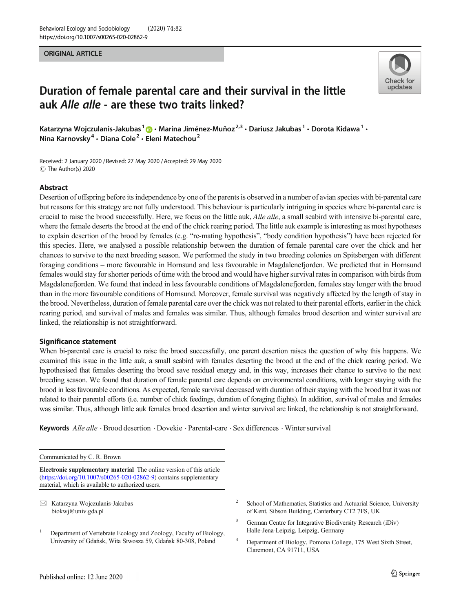#### ORIGINAL ARTICLE



### Duration of female parental care and their survival in the little auk Alle alle - are these two traits linked?

Katarzyna Wojczulanis-Jakubas<sup>1</sup>  $\bigcirc$  · Marina Jiménez-Muñoz<sup>2,3</sup> · Dariusz Jakubas<sup>1</sup> · Dorota Kidawa<sup>1</sup> · Nina Karnovsky<sup>4</sup> · Diana Cole<sup>2</sup> · Eleni Matechou<sup>2</sup>

Received: 2 January 2020 / Revised: 27 May 2020 /Accepted: 29 May 2020 C The Author(s) 2020

#### Abstract

Desertion of offspring before its independence by one of the parents is observed in a number of avian species with bi-parental care but reasons for this strategy are not fully understood. This behaviour is particularly intriguing in species where bi-parental care is crucial to raise the brood successfully. Here, we focus on the little auk, Alle alle, a small seabird with intensive bi-parental care, where the female deserts the brood at the end of the chick rearing period. The little auk example is interesting as most hypotheses to explain desertion of the brood by females (e.g. "re-mating hypothesis", "body condition hypothesis") have been rejected for this species. Here, we analysed a possible relationship between the duration of female parental care over the chick and her chances to survive to the next breeding season. We performed the study in two breeding colonies on Spitsbergen with different foraging conditions – more favourable in Hornsund and less favourable in Magdalenefjorden. We predicted that in Hornsund females would stay for shorter periods of time with the brood and would have higher survival rates in comparison with birds from Magdalenefjorden. We found that indeed in less favourable conditions of Magdalenefjorden, females stay longer with the brood than in the more favourable conditions of Hornsund. Moreover, female survival was negatively affected by the length of stay in the brood. Nevertheless, duration of female parental care over the chick was not related to their parental efforts, earlier in the chick rearing period, and survival of males and females was similar. Thus, although females brood desertion and winter survival are linked, the relationship is not straightforward.

#### Significance statement

When bi-parental care is crucial to raise the brood successfully, one parent desertion raises the question of why this happens. We examined this issue in the little auk, a small seabird with females deserting the brood at the end of the chick rearing period. We hypothesised that females deserting the brood save residual energy and, in this way, increases their chance to survive to the next breeding season. We found that duration of female parental care depends on environmental conditions, with longer staying with the brood in less favourable conditions. As expected, female survival decreased with duration of their staying with the brood but it was not related to their parental efforts (i.e. number of chick feedings, duration of foraging flights). In addition, survival of males and females was similar. Thus, although little auk females brood desertion and winter survival are linked, the relationship is not straightforward.

Keywords Alle alle . Brood desertion . Dovekie . Parental-care . Sex differences . Winter survival

Communicated by C. R. Brown

Electronic supplementary material The online version of this article ([https://doi.org/10.1007/s00265-020-02862-9\)](https://doi.org/10.1007/s00265-020-02862-9) contains supplementary material, which is available to authorized users.

 $\boxtimes$  Katarzyna Wojczulanis-Jakubas [biokwj@univ.gda.pl](mailto:biokwj@univ.gda.pl)

- <sup>1</sup> Department of Vertebrate Ecology and Zoology, Faculty of Biology, University of Gdańsk, Wita Stwosza 59, Gdańsk 80-308, Poland
- School of Mathematics, Statistics and Actuarial Science, University of Kent, Sibson Building, Canterbury CT2 7FS, UK
- <sup>3</sup> German Centre for Integrative Biodiversity Research (iDiv) Halle-Jena-Leipzig, Leipzig, Germany
- <sup>4</sup> Department of Biology, Pomona College, 175 West Sixth Street, Claremont, CA 91711, USA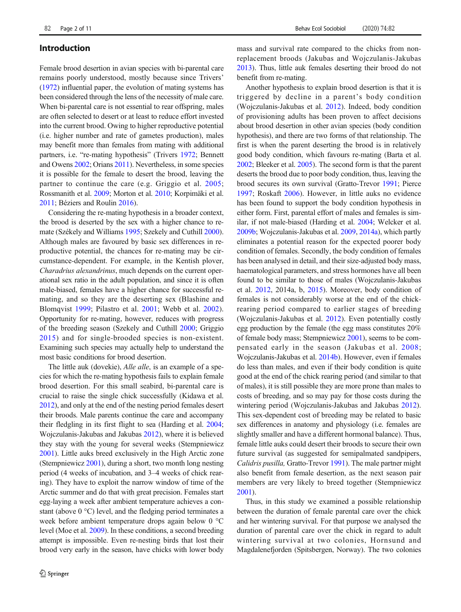#### Introduction

Female brood desertion in avian species with bi-parental care remains poorly understood, mostly because since Trivers' (1972) influential paper, the evolution of mating systems has been considered through the lens of the necessity of male care. When bi-parental care is not essential to rear offspring, males are often selected to desert or at least to reduce effort invested into the current brood. Owing to higher reproductive potential (i.e. higher number and rate of gametes production), males may benefit more than females from mating with additional partners, i.e. "re-mating hypothesis" (Trivers 1972; Bennett and Owens 2002; Orians 2011). Nevertheless, in some species it is possible for the female to desert the brood, leaving the partner to continue the care (e.g. Griggio et al. 2005; Rossmanith et al. 2009; Morton et al. 2010; Korpimäki et al. 2011; Béziers and Roulin 2016).

Considering the re-mating hypothesis in a broader context, the brood is deserted by the sex with a higher chance to remate (Székely and Williams 1995; Szekely and Cuthill 2000). Although males are favoured by basic sex differences in reproductive potential, the chances for re-mating may be circumstance-dependent. For example, in the Kentish plover, Charadrius alexandrinus, much depends on the current operational sex ratio in the adult population, and since it is often male-biased, females have a higher chance for successful remating, and so they are the deserting sex (Blashine and Blomqvist 1999; Pilastro et al. 2001; Webb et al. 2002). Opportunity for re-mating, however, reduces with progress of the breeding season (Szekely and Cuthill 2000; Griggio 2015) and for single-brooded species is non-existent. Examining such species may actually help to understand the most basic conditions for brood desertion.

The little auk (dovekie), *Alle alle*, is an example of a species for which the re-mating hypothesis fails to explain female brood desertion. For this small seabird, bi-parental care is crucial to raise the single chick successfully (Kidawa et al. 2012), and only at the end of the nesting period females desert their broods. Male parents continue the care and accompany their fledgling in its first flight to sea (Harding et al. 2004; Wojczulanis-Jakubas and Jakubas 2012), where it is believed they stay with the young for several weeks (Stempniewicz 2001). Little auks breed exclusively in the High Arctic zone (Stempniewicz 2001), during a short, two month long nesting period (4 weeks of incubation, and 3–4 weeks of chick rearing). They have to exploit the narrow window of time of the Arctic summer and do that with great precision. Females start egg-laying a week after ambient temperature achieves a constant (above 0 °C) level, and the fledging period terminates a week before ambient temperature drops again below 0 °C level (Moe et al. 2009). In these conditions, a second breeding attempt is impossible. Even re-nesting birds that lost their brood very early in the season, have chicks with lower body mass and survival rate compared to the chicks from nonreplacement broods (Jakubas and Wojczulanis-Jakubas 2013). Thus, little auk females deserting their brood do not benefit from re-mating.

Another hypothesis to explain brood desertion is that it is triggered by decline in a parent's body condition (Wojczulanis-Jakubas et al. 2012). Indeed, body condition of provisioning adults has been proven to affect decisions about brood desertion in other avian species (body condition hypothesis), and there are two forms of that relationship. The first is when the parent deserting the brood is in relatively good body condition, which favours re-mating (Barta et al. 2002; Bleeker et al. 2005). The second form is that the parent deserts the brood due to poor body condition, thus, leaving the brood secures its own survival (Gratto-Trevor 1991; Pierce 1997; Roskaft 2006). However, in little auks no evidence has been found to support the body condition hypothesis in either form. First, parental effort of males and females is similar, if not male-biased (Harding et al. 2004; Welcker et al. 2009b; Wojczulanis-Jakubas et al. 2009, 2014a), which partly eliminates a potential reason for the expected poorer body condition of females. Secondly, the body condition of females has been analysed in detail, and their size-adjusted body mass, haematological parameters, and stress hormones have all been found to be similar to those of males (Wojczulanis-Jakubas et al. 2012, 2014a, b, 2015). Moreover, body condition of females is not considerably worse at the end of the chickrearing period compared to earlier stages of breeding (Wojczulanis-Jakubas et al. 2012). Even potentially costly egg production by the female (the egg mass constitutes 20% of female body mass; Stempniewicz 2001), seems to be compensated early in the season (Jakubas et al. 2008; Wojczulanis-Jakubas et al. 2014b). However, even if females do less than males, and even if their body condition is quite good at the end of the chick rearing period (and similar to that of males), it is still possible they are more prone than males to costs of breeding, and so may pay for those costs during the wintering period (Wojczulanis-Jakubas and Jakubas 2012). This sex-dependent cost of breeding may be related to basic sex differences in anatomy and physiology (i.e. females are slightly smaller and have a different hormonal balance). Thus, female little auks could desert their broods to secure their own future survival (as suggested for semipalmated sandpipers, Calidris pusilla, Gratto-Trevor 1991). The male partner might also benefit from female desertion, as the next season pair members are very likely to breed together (Stempniewicz 2001).

Thus, in this study we examined a possible relationship between the duration of female parental care over the chick and her wintering survival. For that purpose we analysed the duration of parental care over the chick in regard to adult wintering survival at two colonies, Hornsund and Magdalenefjorden (Spitsbergen, Norway). The two colonies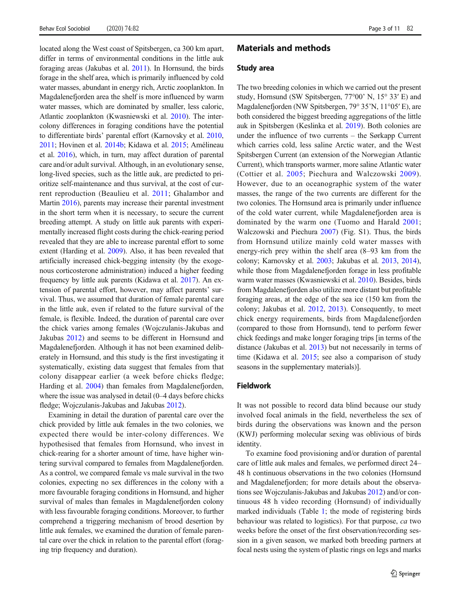located along the West coast of Spitsbergen, ca 300 km apart, differ in terms of environmental conditions in the little auk foraging areas (Jakubas et al. 2011). In Hornsund, the birds forage in the shelf area, which is primarily influenced by cold water masses, abundant in energy rich, Arctic zooplankton. In Magdalenefjorden area the shelf is more influenced by warm water masses, which are dominated by smaller, less caloric, Atlantic zooplankton (Kwasniewski et al. 2010). The intercolony differences in foraging conditions have the potential to differentiate birds' parental effort (Karnovsky et al. 2010, 2011; Hovinen et al. 2014b; Kidawa et al. 2015; Amélineau et al. 2016), which, in turn, may affect duration of parental care and/or adult survival. Although, in an evolutionary sense, long-lived species, such as the little auk, are predicted to prioritize self-maintenance and thus survival, at the cost of current reproduction (Beaulieu et al. 2011; Ghalambor and Martin 2016), parents may increase their parental investment in the short term when it is necessary, to secure the current breeding attempt. A study on little auk parents with experimentally increased flight costs during the chick-rearing period revealed that they are able to increase parental effort to some extent (Harding et al. 2009). Also, it has been revealed that artificially increased chick-begging intensity (by the exogenous corticosterone administration) induced a higher feeding frequency by little auk parents (Kidawa et al. 2017). An extension of parental effort, however, may affect parents' survival. Thus, we assumed that duration of female parental care in the little auk, even if related to the future survival of the female, is flexible. Indeed, the duration of parental care over the chick varies among females (Wojczulanis-Jakubas and Jakubas 2012) and seems to be different in Hornsund and Magdalenefjorden. Although it has not been examined deliberately in Hornsund, and this study is the first investigating it systematically, existing data suggest that females from that colony disappear earlier (a week before chicks fledge; Harding et al. 2004) than females from Magdalenefjorden, where the issue was analysed in detail (0–4 days before chicks fledge; Wojczulanis-Jakubas and Jakubas 2012).

Examining in detail the duration of parental care over the chick provided by little auk females in the two colonies, we expected there would be inter-colony differences. We hypothesised that females from Hornsund, who invest in chick-rearing for a shorter amount of time, have higher wintering survival compared to females from Magdalenefjorden. As a control, we compared female vs male survival in the two colonies, expecting no sex differences in the colony with a more favourable foraging conditions in Hornsund, and higher survival of males than females in Magdalenefjorden colony with less favourable foraging conditions. Moreover, to further comprehend a triggering mechanism of brood desertion by little auk females, we examined the duration of female parental care over the chick in relation to the parental effort (foraging trip frequency and duration).

#### Materials and methods

#### Study area

The two breeding colonies in which we carried out the present study, Hornsund (SW Spitsbergen, 77°00' N, 15° 33′ E) and Magdalenefjorden (NW Spitsbergen, 79° 35'N, 11°05′ E), are both considered the biggest breeding aggregations of the little auk in Spitsbergen (Keslinka et al. 2019). Both colonies are under the influence of two currents – the Sørkapp Current which carries cold, less saline Arctic water, and the West Spitsbergen Current (an extension of the Norwegian Atlantic Current), which transports warmer, more saline Atlantic water (Cottier et al. 2005; Piechura and Walczowski 2009). However, due to an oceanographic system of the water masses, the range of the two currents are different for the two colonies. The Hornsund area is primarily under influence of the cold water current, while Magdalenefjorden area is dominated by the warm one (Tuomo and Harald 2001; Walczowski and Piechura 2007) (Fig. S1). Thus, the birds from Hornsund utilize mainly cold water masses with energy-rich prey within the shelf area (8–93 km from the colony; Karnovsky et al. 2003; Jakubas et al. 2013, 2014), while those from Magdalenefjorden forage in less profitable warm water masses (Kwasniewski et al. 2010). Besides, birds from Magdalenefjorden also utilize more distant but profitable foraging areas, at the edge of the sea ice (150 km from the colony; Jakubas et al. 2012, 2013). Consequently, to meet chick energy requirements, birds from Magdalenefjorden (compared to those from Hornsund), tend to perform fewer chick feedings and make longer foraging trips [in terms of the distance (Jakubas et al. 2013) but not necessarily in terms of time (Kidawa et al. 2015; see also a comparison of study seasons in the supplementary materials)].

#### Fieldwork

It was not possible to record data blind because our study involved focal animals in the field, nevertheless the sex of birds during the observations was known and the person (KWJ) performing molecular sexing was oblivious of birds identity.

To examine food provisioning and/or duration of parental care of little auk males and females, we performed direct 24– 48 h continuous observations in the two colonies (Hornsund and Magdalenefjorden; for more details about the observations see Wojczulanis-Jakubas and Jakubas 2012) and/or continuous 48 h video recording (Hornsund) of individually marked individuals (Table 1; the mode of registering birds behaviour was related to logistics). For that purpose, *ca* two weeks before the onset of the first observation/recording session in a given season, we marked both breeding partners at focal nests using the system of plastic rings on legs and marks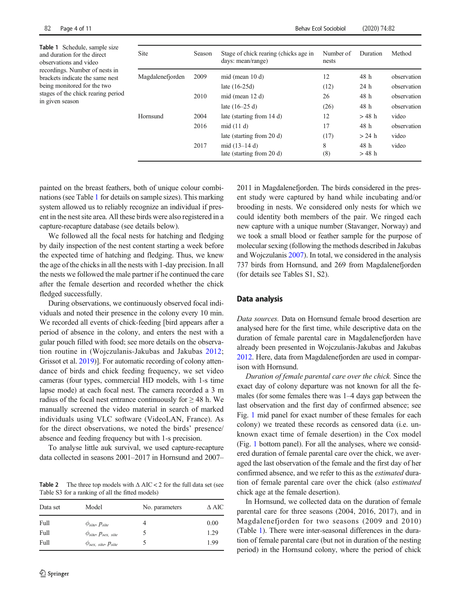| 82<br>Page 4 of 11                                                                                                                                                                                                                                  |                  |        |                                                            | <b>Behav Ecol Sociobiol</b> | (2020) 74:82    |             |
|-----------------------------------------------------------------------------------------------------------------------------------------------------------------------------------------------------------------------------------------------------|------------------|--------|------------------------------------------------------------|-----------------------------|-----------------|-------------|
| Table 1 Schedule, sample size<br>and duration for the direct<br>observations and video<br>recordings. Number of nests in<br>brackets indicate the same nest<br>being monitored for the two<br>stages of the chick rearing period<br>in given season | Site             | Season | Stage of chick rearing (chicks age in<br>days: mean/range) | Number of<br>nests          | Duration        | Method      |
|                                                                                                                                                                                                                                                     | Magdalenefjorden | 2009   | mid (mean $10 d$ )                                         | 12                          | 48 h            | observation |
|                                                                                                                                                                                                                                                     |                  |        | late $(16-25d)$                                            | (12)                        | 24h             | observation |
|                                                                                                                                                                                                                                                     |                  | 2010   | mid (mean $12 d$ )                                         | 26                          | 48 h            | observation |
|                                                                                                                                                                                                                                                     |                  |        | late $(16-25 d)$                                           | (26)                        | 48 h            | observation |
|                                                                                                                                                                                                                                                     | Hornsund         | 2004   | late (starting from 14 d)                                  | 12                          | $>48$ h         | video       |
|                                                                                                                                                                                                                                                     |                  | 2016   | mid $(11 d)$                                               | 17                          | 48 h            | observation |
|                                                                                                                                                                                                                                                     |                  |        | late (starting from 20 d)                                  | (17)                        | $> 24$ h        | video       |
|                                                                                                                                                                                                                                                     |                  | 2017   | mid $(13-14d)$<br>late (starting from 20 d)                | 8<br>(8)                    | 48 h<br>$>48$ h | video       |
|                                                                                                                                                                                                                                                     |                  |        |                                                            |                             |                 |             |

painted on the breast feathers, both of unique colour combinations (see Table 1 for details on sample sizes). This marking system allowed us to reliably recognize an individual if present in the nest site area. All these birds were also registered in a capture-recapture database (see details below).

We followed all the focal nests for hatching and fledging by daily inspection of the nest content starting a week before the expected time of hatching and fledging. Thus, we knew the age of the chicks in all the nests with 1-day precision. In all the nests we followed the male partner if he continued the care after the female desertion and recorded whether the chick fledged successfully.

During observations, we continuously observed focal individuals and noted their presence in the colony every 10 min. We recorded all events of chick-feeding [bird appears after a period of absence in the colony, and enters the nest with a gular pouch filled with food; see more details on the observation routine in (Wojczulanis-Jakubas and Jakubas 2012; Grissot et al. 2019)]. For automatic recording of colony attendance of birds and chick feeding frequency, we set video cameras (four types, commercial HD models, with 1-s time lapse mode) at each focal nest. The camera recorded a 3 m radius of the focal nest entrance continuously for  $\geq$  48 h. We manually screened the video material in search of marked individuals using VLC software (VideoLAN, France). As for the direct observations, we noted the birds' presence/ absence and feeding frequency but with 1-s precision.

To analyse little auk survival, we used capture-recapture data collected in seasons 2001–2017 in Hornsund and 2007–

**Table 2** The three top models with  $\triangle$  AIC < 2 for the full data set (see Table S3 for a ranking of all the fitted models)

| Model                                                         | No. parameters                   | $\Delta$ AIC         |
|---------------------------------------------------------------|----------------------------------|----------------------|
| $\phi_{site}$ , $p_{site}$<br>$\phi_{site}$ , $p_{sex, site}$ |                                  | 0.00<br>1.29<br>1.99 |
|                                                               | $\varphi_{sex.}$ site $P_{site}$ |                      |

2011 in Magdalenefjorden. The birds considered in the present study were captured by hand while incubating and/or brooding in nests. We considered only nests for which we could identity both members of the pair. We ringed each new capture with a unique number (Stavanger, Norway) and we took a small blood or feather sample for the purpose of molecular sexing (following the methods described in Jakubas and Wojczulanis 2007). In total, we considered in the analysis 737 birds from Hornsund, and 269 from Magdalenefjorden (for details see Tables S1, S2).

#### Data analysis

Data sources. Data on Hornsund female brood desertion are analysed here for the first time, while descriptive data on the duration of female parental care in Magdalenefjorden have already been presented in Wojczulanis-Jakubas and Jakubas 2012. Here, data from Magdalenefjorden are used in comparison with Hornsund.

Duration of female parental care over the chick. Since the exact day of colony departure was not known for all the females (for some females there was 1–4 days gap between the last observation and the first day of confirmed absence; see Fig. 1 mid panel for exact number of these females for each colony) we treated these records as censored data (i.e. unknown exact time of female desertion) in the Cox model (Fig. 1 bottom panel). For all the analyses, where we considered duration of female parental care over the chick, we averaged the last observation of the female and the first day of her confirmed absence, and we refer to this as the estimated duration of female parental care over the chick (also estimated chick age at the female desertion).

In Hornsund, we collected data on the duration of female parental care for three seasons (2004, 2016, 2017), and in Magdalenefjorden for two seasons (2009 and 2010) (Table 1). There were inter-seasonal differences in the duration of female parental care (but not in duration of the nesting period) in the Hornsund colony, where the period of chick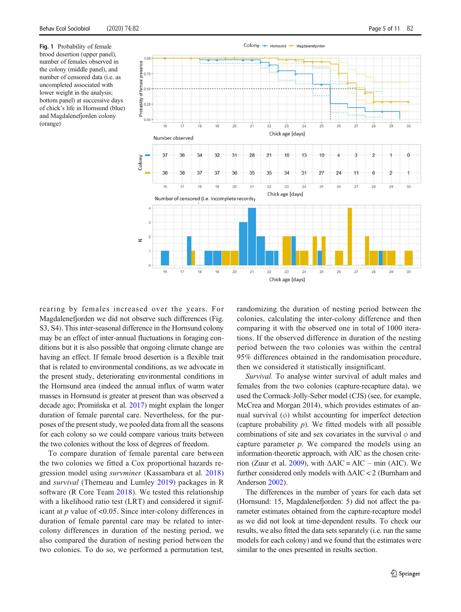$100$ presence

Fig. 1 Probability of female brood desertion (upper panel), number of females observed in the colony (middle panel), and number of censored data (i.e. as uncompleted associated with lower weight in the analysis; bottom panel) at successive days of chick's life in Hornsund (blue) and Magdalenefjorden colony (orange)





rearing by females increased over the years. For Magdalenefjorden we did not observe such differences (Fig. S3, S4). This inter-seasonal difference in the Hornsund colony may be an effect of inter-annual fluctuations in foraging conditions but it is also possible that ongoing climate change are having an effect. If female brood desertion is a flexible trait that is related to environmental conditions, as we advocate in the present study, deteriorating environmental conditions in the Hornsund area (indeed the annual influx of warm water masses in Hornsund is greater at present than was observed a decade ago; Promińska et al. 2017) might explain the longer duration of female parental care. Nevertheless, for the purposes of the present study, we pooled data from all the seasons for each colony so we could compare various traits between the two colonies without the loss of degrees of freedom.

To compare duration of female parental care between the two colonies we fitted a Cox proportional hazards regression model using survminer (Kassambara et al. 2018) and survival (Therneau and Lumley 2019) packages in R software (R Core Team 2018). We tested this relationship with a likelihood ratio test (LRT) and considered it significant at  $p$  value of <0.05. Since inter-colony differences in duration of female parental care may be related to intercolony differences in duration of the nesting period, we also compared the duration of nesting period between the two colonies. To do so, we performed a permutation test,

randomizing the duration of nesting period between the colonies, calculating the inter-colony difference and then comparing it with the observed one in total of 1000 iterations. If the observed difference in duration of the nesting period between the two colonies was within the central 95% differences obtained in the randomisation procedure, then we considered it statistically insignificant.

Survival. To analyse winter survival of adult males and females from the two colonies (capture-recapture data), we used the Cormack-Jolly-Seber model (CJS) (see, for example, McCrea and Morgan 2014), which provides estimates of annual survival  $(\phi)$  whilst accounting for imperfect detection (capture probability  $p$ ). We fitted models with all possible combinations of site and sex covariates in the survival  $\phi$  and capture parameter  $p$ . We compared the models using an information-theoretic approach, with AIC as the chosen criterion (Zuur et al. 2009), with  $\triangle AIC = AIC - \min (AIC)$ . We further considered only models with ΔAIC < 2 (Burnham and Anderson 2002).

The differences in the number of years for each data set (Hornsund: 15, Magdalenefjorden: 5) did not affect the parameter estimates obtained from the capture-recapture model as we did not look at time-dependent results. To check our results, we also fitted the data sets separately (i.e. run the same models for each colony) and we found that the estimates were similar to the ones presented in results section.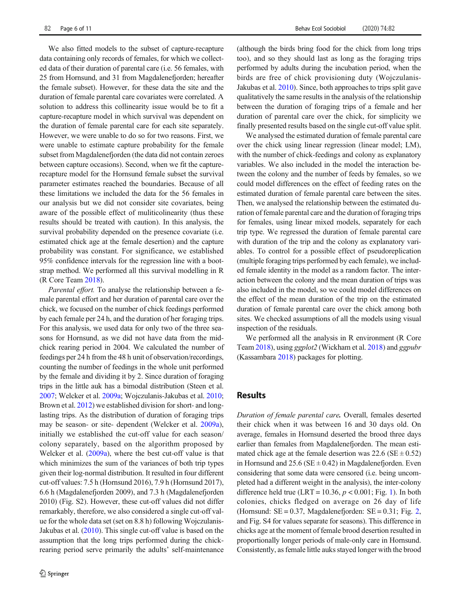We also fitted models to the subset of capture-recapture data containing only records of females, for which we collected data of their duration of parental care (i.e. 56 females, with 25 from Hornsund, and 31 from Magdalenefjorden; hereafter the female subset). However, for these data the site and the duration of female parental care covariates were correlated. A solution to address this collinearity issue would be to fit a capture-recapture model in which survival was dependent on the duration of female parental care for each site separately. However, we were unable to do so for two reasons. First, we were unable to estimate capture probability for the female subset from Magdalenefjorden (the data did not contain zeroes between capture occasions). Second, when we fit the capturerecapture model for the Hornsund female subset the survival parameter estimates reached the boundaries. Because of all these limitations we included the data for the 56 females in our analysis but we did not consider site covariates, being aware of the possible effect of muliticolinearity (thus these results should be treated with caution). In this analysis, the survival probability depended on the presence covariate (i.e. estimated chick age at the female desertion) and the capture probability was constant. For significance, we established 95% confidence intervals for the regression line with a bootstrap method. We performed all this survival modelling in R (R Core Team 2018).

Parental effort. To analyse the relationship between a female parental effort and her duration of parental care over the chick, we focused on the number of chick feedings performed by each female per 24 h, and the duration of her foraging trips. For this analysis, we used data for only two of the three seasons for Hornsund, as we did not have data from the midchick rearing period in 2004. We calculated the number of feedings per 24 h from the 48 h unit of observation/recordings, counting the number of feedings in the whole unit performed by the female and dividing it by 2. Since duration of foraging trips in the little auk has a bimodal distribution (Steen et al. 2007; Welcker et al. 2009a; Wojczulanis-Jakubas et al. 2010; Brown et al. 2012) we established division for short- and longlasting trips. As the distribution of duration of foraging trips may be season- or site- dependent (Welcker et al. 2009a), initially we established the cut-off value for each season/ colony separately, based on the algorithm proposed by Welcker et al. (2009a), where the best cut-off value is that which minimizes the sum of the variances of both trip types given their log-normal distribution. It resulted in four different cut-off values: 7.5 h (Hornsund 2016), 7.9 h (Hornsund 2017), 6.6 h (Magdalenefjorden 2009), and 7.3 h (Magdalenefjorden 2010) (Fig. S2). However, these cut-off values did not differ remarkably, therefore, we also considered a single cut-off value for the whole data set (set on 8.8 h) following Wojczulanis-Jakubas et al. (2010). This single cut-off value is based on the assumption that the long trips performed during the chickrearing period serve primarily the adults' self-maintenance

(although the birds bring food for the chick from long trips too), and so they should last as long as the foraging trips performed by adults during the incubation period, when the birds are free of chick provisioning duty (Wojczulanis-Jakubas et al. 2010). Since, both approaches to trips split gave qualitatively the same results in the analysis of the relationship between the duration of foraging trips of a female and her duration of parental care over the chick, for simplicity we finally presented results based on the single cut-off value split.

We analysed the estimated duration of female parental care over the chick using linear regression (linear model; LM), with the number of chick-feedings and colony as explanatory variables. We also included in the model the interaction between the colony and the number of feeds by females, so we could model differences on the effect of feeding rates on the estimated duration of female parental care between the sites. Then, we analysed the relationship between the estimated duration of female parental care and the duration of foraging trips for females, using linear mixed models, separately for each trip type. We regressed the duration of female parental care with duration of the trip and the colony as explanatory variables. To control for a possible effect of pseudoreplication (multiple foraging trips performed by each female), we included female identity in the model as a random factor. The interaction between the colony and the mean duration of trips was also included in the model, so we could model differences on the effect of the mean duration of the trip on the estimated duration of female parental care over the chick among both sites. We checked assumptions of all the models using visual inspection of the residuals.

We performed all the analysis in R environment (R Core Team 2018), using ggplot2 (Wickham et al. 2018) and ggpubr (Kassambara 2018) packages for plotting.

#### Results

Duration of female parental care. Overall, females deserted their chick when it was between 16 and 30 days old. On average, females in Hornsund deserted the brood three days earlier than females from Magdalenefjorden. The mean estimated chick age at the female desertion was  $22.6$  (SE  $\pm$  0.52) in Hornsund and  $25.6$  (SE  $\pm$  0.42) in Magdalenefjorden. Even considering that some data were censored (i.e. being uncompleted had a different weight in the analysis), the inter-colony difference held true (LRT = 10.36,  $p < 0.001$ ; Fig. 1). In both colonies, chicks fledged on average on 26 day of life (Hornsund:  $SE = 0.37$ , Magdalenefjorden:  $SE = 0.31$ ; Fig. 2, and Fig. S4 for values separate for seasons). This difference in chicks age at the moment of female brood desertion resulted in proportionally longer periods of male-only care in Hornsund. Consistently, as female little auks stayed longer with the brood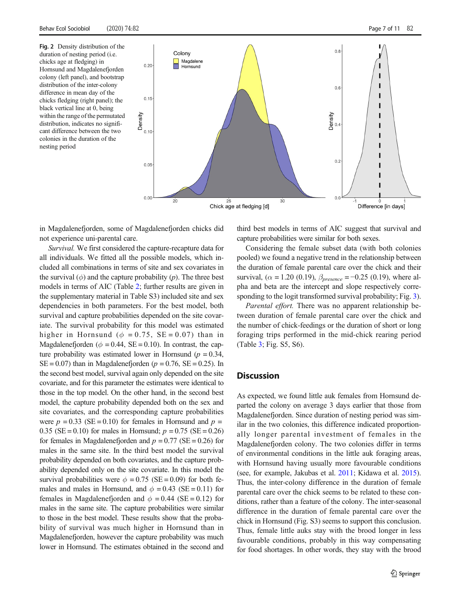Fig. 2 Density distribution of the duration of nesting period (i.e. chicks age at fledging) in Hornsund and Magdalenefjorden colony (left panel), and bootstrap distribution of the inter-colony difference in mean day of the chicks fledging (right panel); the black vertical line at 0, being within the range of the permutated distribution, indicates no significant difference between the two colonies in the duration of the nesting period



in Magdalenefjorden, some of Magdalenefjorden chicks did not experience uni-parental care.

Survival. We first considered the capture-recapture data for all individuals. We fitted all the possible models, which included all combinations in terms of site and sex covariates in the survival  $(\phi)$  and the capture probability  $(p)$ . The three best models in terms of AIC (Table 2; further results are given in the supplementary material in Table S3) included site and sex dependencies in both parameters. For the best model, both survival and capture probabilities depended on the site covariate. The survival probability for this model was estimated higher in Hornsund ( $\phi = 0.75$ , SE = 0.07) than in Magdalenefjorden ( $\phi = 0.44$ , SE = 0.10). In contrast, the capture probability was estimated lower in Hornsund ( $p = 0.34$ ,  $SE = 0.07$ ) than in Magdalenefjorden ( $p = 0.76$ ,  $SE = 0.25$ ). In the second best model, survival again only depended on the site covariate, and for this parameter the estimates were identical to those in the top model. On the other hand, in the second best model, the capture probability depended both on the sex and site covariates, and the corresponding capture probabilities were  $p = 0.33$  (SE = 0.10) for females in Hornsund and  $p =$ 0.35 (SE = 0.10) for males in Hornsund;  $p = 0.75$  (SE = 0.26) for females in Magdalenefjorden and  $p = 0.77$  (SE = 0.26) for males in the same site. In the third best model the survival probability depended on both covariates, and the capture probability depended only on the site covariate. In this model the survival probabilities were  $\phi = 0.75$  (SE = 0.09) for both females and males in Hornsund, and  $\phi = 0.43$  (SE = 0.11) for females in Magdalenefjorden and  $\phi = 0.44$  (SE = 0.12) for males in the same site. The capture probabilities were similar to those in the best model. These results show that the probability of survival was much higher in Hornsund than in Magdalenefjorden, however the capture probability was much lower in Hornsund. The estimates obtained in the second and third best models in terms of AIC suggest that survival and capture probabilities were similar for both sexes.

Considering the female subset data (with both colonies pooled) we found a negative trend in the relationship between the duration of female parental care over the chick and their survival, ( $\alpha = 1.20$  (0.19),  $\beta_{presence} = -0.25$  (0.19), where alpha and beta are the intercept and slope respectively corresponding to the logit transformed survival probability; Fig. 3).

Parental effort. There was no apparent relationship between duration of female parental care over the chick and the number of chick-feedings or the duration of short or long foraging trips performed in the mid-chick rearing period (Table 3; Fig. S5, S6).

#### **Discussion**

As expected, we found little auk females from Hornsund departed the colony on average 3 days earlier that those from Magdalenefjorden. Since duration of nesting period was similar in the two colonies, this difference indicated proportionally longer parental investment of females in the Magdalenefjorden colony. The two colonies differ in terms of environmental conditions in the little auk foraging areas, with Hornsund having usually more favourable conditions (see, for example, Jakubas et al. 2011; Kidawa et al. 2015). Thus, the inter-colony difference in the duration of female parental care over the chick seems to be related to these conditions, rather than a feature of the colony. The inter-seasonal difference in the duration of female parental care over the chick in Hornsund (Fig. S3) seems to support this conclusion. Thus, female little auks stay with the brood longer in less favourable conditions, probably in this way compensating for food shortages. In other words, they stay with the brood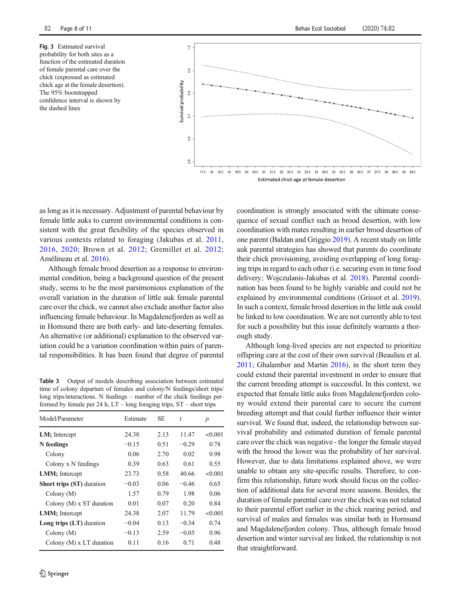Fig. 3 Estimated survival probability for both sites as a function of the estimated duration of female parental care over the chick (expressed as estimated chick age at the female desertion). The 95% bootstrapped confidence interval is shown by the dashed lines



as long as it is necessary. Adjustment of parental behaviour by female little auks to current environmental conditions is consistent with the great flexibility of the species observed in various contexts related to foraging (Jakubas et al. 2011, 2016, 2020; Brown et al. 2012; Gremillet et al. 2012; Amélineau et al. 2016).

Although female brood desertion as a response to environmental condition, being a background question of the present study, seems to be the most parsimonious explanation of the overall variation in the duration of little auk female parental care over the chick, we cannot also exclude another factor also influencing female behaviour. In Magdalenefjorden as well as in Hornsund there are both early- and late-deserting females. An alternative (or additional) explanation to the observed variation could be a variation coordination within pairs of parental responsibilities. It has been found that degree of parental

Table 3 Output of models describing association between estimated time of colony departure of females and colony/N feedings/short trips/ long trips/interactions. N feedings – number of the chick feedings performed by female per 24 h, LT – long foraging trips, ST – short trips

| Model/Parameter                  | Estimate | SE   | t       | $\boldsymbol{p}$ |
|----------------------------------|----------|------|---------|------------------|
| LM; Intercept                    | 24.38    | 2.13 | 11.47   | < 0.001          |
| N feedings                       | $-0.15$  | 0.51 | $-0.29$ | 0.78             |
| Colony                           | 0.06     | 2.70 | 0.02    | 0.98             |
| Colony x N feedings              | 0.39     | 0.63 | 0.61    | 0.55             |
| <b>LMM</b> ; Intercept           | 23.73    | 0.58 | 40.66   | < 0.001          |
| <b>Short trips (ST)</b> duration | $-0.03$  | 0.06 | $-0.46$ | 0.65             |
| Colony $(M)$                     | 1.57     | 0.79 | 1.98    | 0.06             |
| Colony $(M)$ x ST duration       | 0.01     | 0.07 | 0.20    | 0.84             |
| <b>LMM</b> ; Intercept           | 24.38    | 2.07 | 11.79   | < 0.001          |
| Long trips (LT) duration         | $-0.04$  | 0.13 | $-0.34$ | 0.74             |
| Colony (M)                       | $-0.13$  | 2.59 | $-0.05$ | 0.96             |
| Colony $(M)$ x LT duration       | 0.11     | 0.16 | 0.71    | 0.48             |

coordination is strongly associated with the ultimate consequence of sexual conflict such as brood desertion, with low coordination with mates resulting in earlier brood desertion of one parent (Baldan and Griggio 2019). A recent study on little auk parental strategies has showed that parents do coordinate their chick provisioning, avoiding overlapping of long foraging trips in regard to each other (i.e. securing even in time food delivery; Wojczulanis-Jakubas et al. 2018). Parental coordination has been found to be highly variable and could not be explained by environmental conditions (Grissot et al. 2019). In such a context, female brood desertion in the little auk could be linked to low coordination. We are not currently able to test for such a possibility but this issue definitely warrants a thorough study.

Although long-lived species are not expected to prioritize offspring care at the cost of their own survival (Beaulieu et al. 2011; Ghalambor and Martin 2016), in the short term they could extend their parental investment in order to ensure that the current breeding attempt is successful. In this context, we expected that female little auks from Magdalenefjorden colony would extend their parental care to secure the current breeding attempt and that could further influence their winter survival. We found that, indeed, the relationship between survival probability and estimated duration of female parental care over the chick was negative - the longer the female stayed with the brood the lower was the probability of her survival. However, due to data limitations explained above, we were unable to obtain any site-specific results. Therefore, to confirm this relationship, future work should focus on the collection of additional data for several more seasons. Besides, the duration of female parental care over the chick was not related to their parental effort earlier in the chick rearing period, and survival of males and females was similar both in Hornsund and Magdalenefjorden colony. Thus, although female brood desertion and winter survival are linked, the relationship is not that straightforward.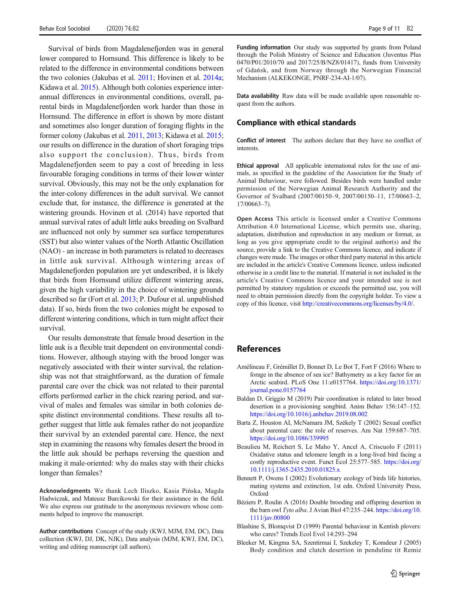Survival of birds from Magdalenefjorden was in general lower compared to Hornsund. This difference is likely to be related to the difference in environmental conditions between the two colonies (Jakubas et al. 2011; Hovinen et al. 2014a; Kidawa et al. 2015). Although both colonies experience interannual differences in environmental conditions, overall, parental birds in Magdalenefjorden work harder than those in Hornsund. The difference in effort is shown by more distant and sometimes also longer duration of foraging flights in the former colony (Jakubas et al. 2011, 2013; Kidawa et al. 2015; our results on difference in the duration of short foraging trips also support the conclusion). Thus, birds from Magdalenefjorden seem to pay a cost of breeding in less favourable foraging conditions in terms of their lower winter survival. Obviously, this may not be the only explanation for the inter-colony differences in the adult survival. We cannot exclude that, for instance, the difference is generated at the wintering grounds. Hovinen et al. (2014) have reported that annual survival rates of adult little auks breeding on Svalbard are influenced not only by summer sea surface temperatures (SST) but also winter values of the North Atlantic Oscillation (NAO) - an increase in both parameters is related to decreases in little auk survival. Although wintering areas of Magdalenefjorden population are yet undescribed, it is likely that birds from Hornsund utilize different wintering areas, given the high variability in the choice of wintering grounds described so far (Fort et al. 2013; P. Dufour et al. unpublished data). If so, birds from the two colonies might be exposed to different wintering conditions, which in turn might affect their survival.

Our results demonstrate that female brood desertion in the little auk is a flexible trait dependent on environmental conditions. However, although staying with the brood longer was negatively associated with their winter survival, the relationship was not that straightforward, as the duration of female parental care over the chick was not related to their parental efforts performed earlier in the chick rearing period, and survival of males and females was similar in both colonies despite distinct environmental conditions. These results all together suggest that little auk females rather do not jeopardize their survival by an extended parental care. Hence, the next step in examining the reasons why females desert the brood in the little auk should be perhaps reversing the question and making it male-oriented: why do males stay with their chicks longer than females?

Acknowledgments We thank Lech Iliszko, Kasia Pińska, Magda Hadwiczak, and Mateusz Barcikowski for their assistance in the field. We also express our gratitude to the anonymous reviewers whose comments helped to improve the manuscript.

Author contributions Concept of the study (KWJ, MJM, EM, DC), Data collection (KWJ, DJ, DK, NJK), Data analysis (MJM, KWJ, EM, DC), writing and editing manuscript (all authors).

Funding information Our study was supported by grants from Poland through the Polish Ministry of Science and Education (Juventus Plus 0470/P01/2010/70 and 2017/25/B/NZ8/01417), funds from University of Gdańsk, and from Norway through the Norwegian Financial Mechanism (ALKEKONGE, PNRF-234-AI-1/07).

Data availability Raw data will be made available upon reasonable request from the authors.

#### Compliance with ethical standards

Conflict of interest The authors declare that they have no conflict of interests.

Ethical approval All applicable international rules for the use of animals, as specified in the guideline of the Association for the Study of Animal Behaviour, were followed. Besides birds were handled under permission of the Norwegian Animal Research Authority and the Governor of Svalbard (2007/00150–9, 2007/00150–11, 17/00663–2, 17/00663–7).

Open Access This article is licensed under a Creative Commons Attribution 4.0 International License, which permits use, sharing, adaptation, distribution and reproduction in any medium or format, as long as you give appropriate credit to the original author(s) and the source, provide a link to the Creative Commons licence, and indicate if changes were made. The images or other third party material in this article are included in the article's Creative Commons licence, unless indicated otherwise in a credit line to the material. If material is not included in the article's Creative Commons licence and your intended use is not permitted by statutory regulation or exceeds the permitted use, you will need to obtain permission directly from the copyright holder. To view a copy of this licence, visit [http://creativecommons.org/licenses/by/4.0/.](http://creativecommons.org/licenses/by/4.0/)

#### References

- Amélineau F, Grémillet D, Bonnet D, Le Bot T, Fort F (2016) Where to forage in the absence of sea ice? Bathymetry as a key factor for an Arctic seabird. PLoS One 11:e0157764. [https://doi.org/10.1371/](https://doi.org/10.1371/journal.pone.0157764) [journal.pone.0157764](https://doi.org/10.1371/journal.pone.0157764)
- Baldan D, Griggio M (2019) Pair coordination is related to later brood desertion in a provisioning songbird. Anim Behav 156:147–152. <https://doi.org/10.1016/j.anbehav.2019.08.002>
- Barta Z, Houston AI, McNamara JM, Székely T (2002) Sexual conflict about parental care: the role of reserves. Am Nat 159:687–705. <https://doi.org/10.1086/339995>
- Beaulieu M, Reichert S, Le Maho Y, Ancel A, Criscuolo F (2011) Oxidative status and telomere length in a long-lived bird facing a costly reproductive event. Funct Ecol 25:577–585. [https://doi.org/](https://doi.org/10.1111/j.1365-2435.2010.01825.x) [10.1111/j.1365-2435.2010.01825.x](https://doi.org/10.1111/j.1365-2435.2010.01825.x)
- Bennett P, Owens I (2002) Evolutionary ecology of birds life histories, mating systems and extinction, 1st edn. Oxford University Press, Oxford
- Béziers P, Roulin A (2016) Double brooding and offspring desertion in the barn owl Tyto alba. J Avian Biol 47:235-244. [https://doi.org/10.](https://doi.org/10.1111/jav.00800) [1111/jav.00800](https://doi.org/10.1111/jav.00800)
- Blashine S, Blomqvist D (1999) Parental behaviour in Kentish plovers: who cares? Trends Ecol Evol 14:293–294
- Bleeker M, Kingma SA, Szentirmai I, Szekeley T, Komdeur J (2005) Body condition and clutch desertion in penduline tit Remiz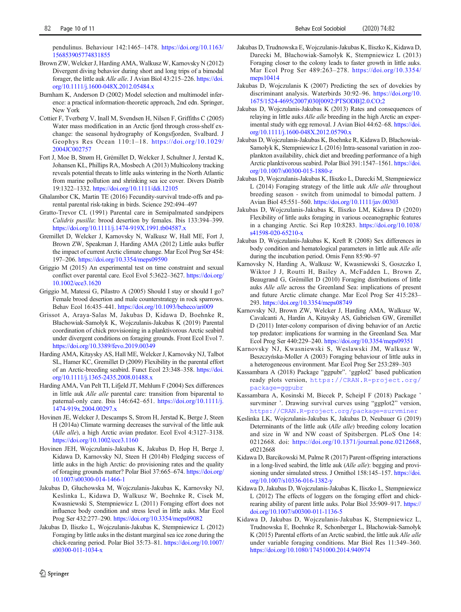pendulinus. Behaviour 142:1465–1478. [https://doi.org/10.1163/](https://doi.org/10.1163/156853905774831855) [156853905774831855](https://doi.org/10.1163/156853905774831855)

- Brown ZW, Welcker J, Harding AMA, Walkusz W, Karnovsky N (2012) Divergent diving behavior during short and long trips of a bimodal forager, the little auk Alle alle. J Avian Biol 43:215–226. [https://doi.](https://doi.org/10.1111/j.1600-048X.2012.05484.x) [org/10.1111/j.1600-048X.2012.05484.x](https://doi.org/10.1111/j.1600-048X.2012.05484.x)
- Burnham K, Anderson D (2002) Model selection and multimodel inference: a practical information-theoretic approach, 2nd edn. Springer, New York
- Cottier F, Tverberg V, Inall M, Svendsen H, Nilsen F, Griffiths C (2005) Water mass modification in an Arctic fjord through cross-shelf exchange: the seasonal hydrography of Kongsfjorden, Svalbard. J Geophys Res Ocean 110:1–18. [https://doi.org/10.1029/](http://creativecommons.org/licenses/by/4.0/) [2004JC002757](http://creativecommons.org/licenses/by/4.0/)
- Fort J, Moe B, Strøm H, Grémillet D, Welcker J, Schultner J, Jerstad K, Johansen KL, Phillips RA, Mosbech A (2013) Multicolony tracking reveals potential threats to little auks wintering in the North Atlantic from marine pollution and shrinking sea ice cover. Divers Distrib 19:1322–1332. <https://doi.org/10.1111/ddi.12105>
- Ghalambor CK, Martin TE (2016) Fecundity-survival trade-offs and parental parental risk-taking in birds. Science 292:494–497
- Gratto-Trevor CL (1991) Parental care in Semipalmated sandpipers Calidris pusilla: brood desertion by females. Ibis 133:394–399. <https://doi.org/10.1111/j.1474-919X.1991.tb04587.x>
- Gremillet D, Welcker J, Karnovsky N, Walkusz W, Hall ME, Fort J, Brown ZW, Speakman J, Harding AMA (2012) Little auks buffer the impact of current Arctic climate change. Mar Ecol Prog Ser 454: 197–206. <https://doi.org/10.3354/meps09590>
- Griggio M (2015) An experimental test on time constraint and sexual conflict over parental care. Ecol Evol 5:3622–3627. [https://doi.org/](https://doi.org/10.1002/ece3.1620) [10.1002/ece3.1620](https://doi.org/10.1002/ece3.1620)
- Griggio M, Matessi G, Pilastro A (2005) Should I stay or should I go? Female brood desertion and male counterstrategy in rock sparrows. Behav Ecol 16:435–441. <https://doi.org/10.1093/beheco/ari009>
- Grissot A, Araya-Salas M, Jakubas D, Kidawa D, Boehnke R, Błachowiak-Samołyk K, Wojczulanis-Jakubas K (2019) Parental coordination of chick provisioning in a planktivorous Arctic seabird under divergent conditions on foraging grounds. Front Ecol Evol 7. <https://doi.org/10.3389/fevo.2019.00349>
- Harding AMA, Kitaysky AS, Hall ME, Welcker J, Karnovsky NJ, Talbot SL, Hamer KC, Gremillet D (2009) Flexibility in the parental effort of an Arctic-breeding seabird. Funct Ecol 23:348–358. [https://doi.](https://doi.org/10.1111/j.1365-2435.2008.01488.x) [org/10.1111/j.1365-2435.2008.01488.x](https://doi.org/10.1111/j.1365-2435.2008.01488.x)
- Harding AMA, Van Pelt TI, Lifjeld JT, Mehlum F (2004) Sex differences in little auk Alle alle parental care: transition from biparental to paternal-only care. Ibis 146:642-651. [https://doi.org/10.1111/j.](https://doi.org/10.1111/j.1474-919x.2004.00297.x) [1474-919x.2004.00297.x](https://doi.org/10.1111/j.1474-919x.2004.00297.x)
- Hovinen JE, Welcker J, Descamps S, Strom H, Jerstad K, Berge J, Steen H (2014a) Climate warming decreases the survival of the little auk (Alle alle), a high Arctic avian predator. Ecol Evol 4:3127–3138. <https://doi.org/10.1002/ece3.1160>
- Hovinen JEH, Wojczulanis-Jakubas K, Jakubas D, Hop H, Berge J, Kidawa D, Karnovsky NJ, Steen H (2014b) Fledging success of little auks in the high Arctic: do provisioning rates and the quality of foraging grounds matter? Polar Biol 37:665–674. [https://doi.org/](https://doi.org/10.1007/s00300-014-1466-1) [10.1007/s00300-014-1466-1](https://doi.org/10.1007/s00300-014-1466-1)
- Jakubas D, Głuchowska M, Wojczulanis-Jakubas K, Karnovsky NJ, Keslinka L, Kidawa D, Walkusz W, Boehnke R, Cisek M, Kwasniewski S, Stempniewicz L (2011) Foraging effort does not influence body condition and stress level in little auks. Mar Ecol Prog Ser 432:277–290. <https://doi.org/10.3354/meps09082>
- Jakubas D, Iliszko L, Wojczulanis-Jakubas K, Stempniewicz L (2012) Foraging by little auks in the distant marginal sea ice zone during the chick-rearing period. Polar Biol 35:73–81. [https://doi.org/10.1007/](https://doi.org/10.1007/s00300-011-1034-x) [s00300-011-1034-x](https://doi.org/10.1007/s00300-011-1034-x)
- Jakubas D, Trudnowska E, Wojczulanis-Jakubas K, Iliszko K, Kidawa D, Darecki M, Błachowiak-Samołyk K, Stempniewicz L (2013) Foraging closer to the colony leads to faster growth in little auks. Mar Ecol Prog Ser 489:263–278. [https://doi.org/10.3354/](https://doi.org/10.3354/meps10414) [meps10414](https://doi.org/10.3354/meps10414)
- Jakubas D, Wojczulanis K (2007) Predicting the sex of dovekies by discriminant analysis. Waterbirds 30:92–96. [https://doi.org/10.](https://doi.org/10.1675/1524-4695(2007)030<0092:PTSODB>2.0.CO;2) [1675/1524-4695\(2007\)030\[0092:PTSODB\]2.0.CO;2](https://doi.org/10.1675/1524-4695(2007)030<0092:PTSODB>2.0.CO;2)
- Jakubas D, Wojczulanis-Jakubas K (2013) Rates and consequences of relaying in little auks Alle alle breeding in the high Arctic an experimental study with egg removal. J Avian Biol 44:62–68. [https://doi.](https://doi.org/10.1111/j.1600-048X.2012.05790.x) [org/10.1111/j.1600-048X.2012.05790.x](https://doi.org/10.1111/j.1600-048X.2012.05790.x)
- Jakubas D, Wojczulanis-Jakubas K, Boehnke R, Kidawa D, Błachowiak-Samołyk K, Stempniewicz L (2016) Intra-seasonal variation in zooplankton availability, chick diet and breeding performance of a high Arctic planktivorous seabird. Polar Biol 391:1547–1561. [https://doi.](https://doi.org/10.1007/s00300-015-1880-z) [org/10.1007/s00300-015-1880-z](https://doi.org/10.1007/s00300-015-1880-z)
- Jakubas D, Wojczulanis-Jakubas K, Iliszko L, Darecki M, Stempniewicz L (2014) Foraging strategy of the little auk Alle alle throughout breeding season - switch from unimodal to bimodal pattern. J Avian Biol 45:551–560. <https://doi.org/10.1111/jav.00303>
- Jakubas D, Wojczulanis-Jakubas K, Iliszko LM, Kidawa D (2020) Flexibility of little auks foraging in various oceanographic features in a changing Arctic. Sci Rep 10:8283. [https://doi.org/10.1038/](https://doi.org/10.1038/s41598-020-65210-x) [s41598-020-65210-x](https://doi.org/10.1038/s41598-020-65210-x)
- Jakubas D, Wojczulanis-Jakubas K, Kreft R (2008) Sex differences in body condition and hematological parameters in little auk Alle alle during the incubation period. Ornis Fenn 85:90–97
- Karnovsky N, Harding A, Walkusz W, Kwasniewski S, Goszczko I, Wiktor J J, Routti H, Bailey A, McFadden L, Brown Z, Beaugrand G, Grémillet D (2010) Foraging distributions of little auks Alle alle across the Greenland Sea: implications of present and future Arctic climate change. Mar Ecol Prog Ser 415:283– 293. <https://doi.org/10.3354/meps08749>
- Karnovsky NJ, Brown ZW, Welcker J, Harding AMA, Walkusz W, Cavalcanti A, Hardin A, Kitaysky AS, Gabrielsen GW, Gremillet D (2011) Inter-colony comparison of diving behavior of an Arctic top predator: implications for warming in the Greenland Sea. Mar Ecol Prog Ser 440:229–240. <https://doi.org/10.3354/meps09351>
- Karnovsky NJ, Kwasniewski S, Weslawski JM, Walkusz W, Beszczyńska-Moller A (2003) Foraging behaviour of little auks in a heterogeneous environment. Mar Ecol Prog Ser 253:289–303
- Kassambara A (2018) Package "ggpubr". 'ggplot2' based publication ready plots version, [https://CRAN.R-project.org/](http://creativecommons.org/licenses/by/4.0/)
- Kassambara A, Kosinski M, Biecek P, Scheipl F (2018) Package ' survminer '. Drawing survival curves using "ggplot2" version,
- Keslinka LK, Wojczulanis-Jakubas K, Jakubas D, Neubauer G (2019) Determinants of the little auk (Alle alle) breeding colony location and size in W and NW coast of Spitsbergen. PLoS One 14: 0212668. doi: <https://doi.org/10.1371/journal.pone.0212668>, e0212668
- Kidawa D, Barcikowski M, Palme R (2017) Parent-offspring interactions in a long-lived seabird, the little auk (Alle alle): begging and provisioning under simulated stress. J Ornithol 158:145-157. [https://doi.](https://doi.org/10.1007/s10336-016-1382-y) [org/10.1007/s10336-016-1382-y](https://doi.org/10.1007/s10336-016-1382-y)
- Kidawa D, Jakubas D, Wojczulanis-Jakubas K, Iliszko L, Stempniewicz L (2012) The effects of loggers on the foraging effort and chickrearing ability of parent little auks. Polar Biol 35:909–917. [https://](https://doi.org/10.1007/s00300-011-1136-5) [doi.org/10.1007/s00300-011-1136-5](https://doi.org/10.1007/s00300-011-1136-5)
- Kidawa D, Jakubas D, Wojczulanis-Jakubas K, Stempniewicz L, Trudnowska E, Boehnke R, Schonberger L, Błachowiak-Samołyk K (2015) Parental efforts of an Arctic seabird, the little auk Alle alle under variable foraging conditions. Mar Biol Res 11:349–360. <https://doi.org/10.1080/17451000.2014.940974>